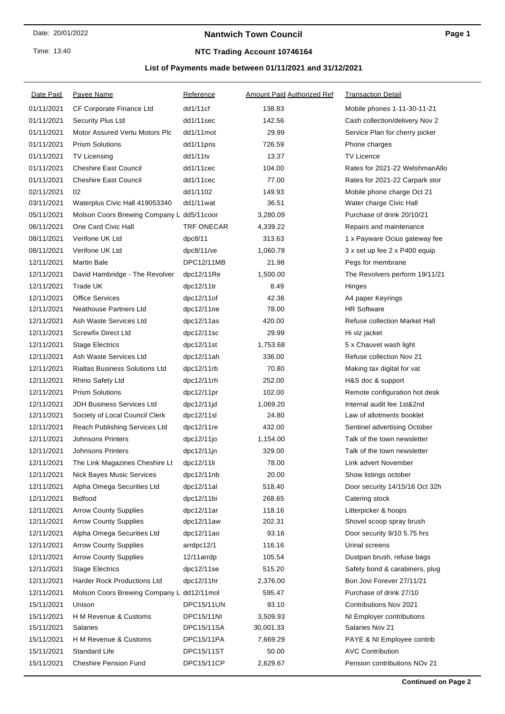### **Nantwich Town Council**

# **NTC Trading Account 10746164**

| Date Paid  | <b>Payee Name</b>                         | Reference         | <b>Amount Paid Authorized Ref</b> | <b>Transaction Detail</b>      |
|------------|-------------------------------------------|-------------------|-----------------------------------|--------------------------------|
| 01/11/2021 | <b>CF Corporate Finance Ltd</b>           | dd1/11cf          | 138.83                            | Mobile phones 1-11-30-11-21    |
| 01/11/2021 | Security Plus Ltd                         | dd1/11sec         | 142.56                            | Cash collection/delivery Nov 2 |
| 01/11/2021 | <b>Motor Assured Vertu Motors Plc</b>     | dd1/11mot         | 29.99                             | Service Plan for cherry picker |
| 01/11/2021 | <b>Prism Solutions</b>                    | dd1/11pris        | 726.59                            | Phone charges                  |
| 01/11/2021 | <b>TV Licensing</b>                       | dd1/11tv          | 13.37                             | <b>TV Licence</b>              |
| 01/11/2021 | <b>Cheshire East Council</b>              | dd1/11cec         | 104.00                            | Rates for 2021-22 WelshmanAllo |
| 01/11/2021 | <b>Cheshire East Council</b>              | dd1/11cec         | 77.00                             | Rates for 2021-22 Carpark stor |
| 02/11/2021 | 02                                        | dd1/1102          | 149.93                            | Mobile phone charge Oct 21     |
| 03/11/2021 | Waterplus Civic Hall 419053340            | dd1/11wat         | 36.51                             | Water charge Civic Hall        |
| 05/11/2021 | Molson Coors Brewing Company L dd5/11coor |                   | 3,280.09                          | Purchase of drink 20/10/21     |
| 06/11/2021 | One Card Civic Hall                       | TRF ONECAR        | 4,339.22                          | Repairs and maintenance        |
| 08/11/2021 | Verifone UK Ltd                           | dpc8/11           | 313.63                            | 1 x Payware Ocius gateway fee  |
| 08/11/2021 | Verifone UK Ltd                           | dpc8/11/ve        | 1,060.78                          | 3 x set up fee 2 x P400 equip  |
| 12/11/2021 | <b>Martin Bale</b>                        | DPC12/11MB        | 21.98                             | Pegs for membrane              |
| 12/11/2021 | David Hambridge - The Revolver            | dpc12/11Re        | 1,500.00                          | The Revolvers perform 19/11/21 |
| 12/11/2021 | Trade UK                                  | $dpc12/11$ tr     | 8.49                              | Hinges                         |
| 12/11/2021 | <b>Office Services</b>                    | dpc12/11of        | 42.36                             | A4 paper Keyrings              |
| 12/11/2021 | <b>Neathouse Partners Ltd</b>             | dpc12/11ne        | 78.00                             | <b>HR Software</b>             |
| 12/11/2021 | Ash Waste Services Ltd                    | dpc12/11as        | 420.00                            | Refuse collection Market Hall  |
| 12/11/2021 | <b>Screwfix Direct Ltd</b>                | dpc12/11sc        | 29.99                             | Hi viz jacket                  |
| 12/11/2021 | <b>Stage Electrics</b>                    | dpc12/11st        | 1,753.68                          | 5 x Chauvet wash light         |
| 12/11/2021 | Ash Waste Services Ltd                    | dpc12/11ah        | 336.00                            | Refuse collection Nov 21       |
| 12/11/2021 | <b>Rialtas Business Solutions Ltd</b>     | dpc12/11rb        | 70.80                             | Making tax digital for vat     |
| 12/11/2021 | Rhino Safety Ltd                          | dpc12/11rh        | 252.00                            | H&S doc & support              |
| 12/11/2021 | <b>Prism Solutions</b>                    | dpc12/11pr        | 102.00                            | Remote configuration hot desk  |
| 12/11/2021 | <b>JDH Business Services Ltd</b>          | dpc12/11jd        | 1,069.20                          | Internal audit fee 1st&2nd     |
| 12/11/2021 | Society of Local Council Clerk            | dpc12/11sl        | 24.80                             | Law of allotments booklet      |
| 12/11/2021 | Reach Publishing Services Ltd             | dpc12/11re        | 432.00                            | Sentinel advertising October   |
| 12/11/2021 | <b>Johnsons Printers</b>                  | $dpc12/11j$ o     | 1,154.00                          | Talk of the town newsletter    |
| 12/11/2021 | <b>Johnsons Printers</b>                  | dpc12/11jn        | 329.00                            | Talk of the town newsletter    |
| 12/11/2021 | The Link Magazines Cheshire Lt            | dpc12/11li        | 78.00                             | Link advert November           |
| 12/11/2021 | <b>Nick Bayes Music Services</b>          | dpc12/11nb        | 20.00                             | Show listings october          |
| 12/11/2021 | Alpha Omega Securities Ltd                | dpc12/11al        | 518.40                            | Door security 14/15/16 Oct 32h |
| 12/11/2021 | <b>Bidfood</b>                            | dpc12/11bi        | 268.65                            | Catering stock                 |
| 12/11/2021 | <b>Arrow County Supplies</b>              | dpc12/11ar        | 118.16                            | Litterpicker & hoops           |
| 12/11/2021 | <b>Arrow County Supplies</b>              | dpc12/11aw        | 202.31                            | Shovel scoop spray brush       |
| 12/11/2021 | Alpha Omega Securities Ltd                | dpc12/11ao        | 93.16                             | Door security 9/10 5.75 hrs    |
| 12/11/2021 | <b>Arrow County Supplies</b>              | arrdpc12/1        | 116.16                            | Urinal screens                 |
| 12/11/2021 | <b>Arrow County Supplies</b>              | $12/11$ arrdp     | 105.54                            | Dustpan brush, refuse bags     |
| 12/11/2021 | <b>Stage Electrics</b>                    | dpc12/11se        | 515.20                            | Safety bond & carabiners, plug |
| 12/11/2021 | Harder Rock Productions Ltd               | dpc12/11hr        | 2,376.00                          | Bon Jovi Forever 27/11/21      |
| 12/11/2021 | Molson Coors Brewing Company L dd12/11mol |                   | 595.47                            | Purchase of drink 27/10        |
| 15/11/2021 | Unison                                    | <b>DPC15/11UN</b> | 93.10                             | Contributions Nov 2021         |
| 15/11/2021 | H M Revenue & Customs                     | DPC15/11NI        | 3,509.93                          | NI Employer contributions      |
| 15/11/2021 | Salaries                                  | DPC15/11SA        | 30,001.33                         | Salaries Nov 21                |
| 15/11/2021 | H M Revenue & Customs                     | DPC15/11PA        | 7,669.29                          | PAYE & NI Employee contrib     |
| 15/11/2021 | Standard Life                             | <b>DPC15/11ST</b> | 50.00                             | <b>AVC Contribution</b>        |
| 15/11/2021 | <b>Cheshire Pension Fund</b>              | DPC15/11CP        | 2,629.67                          | Pension contributions NOv 21   |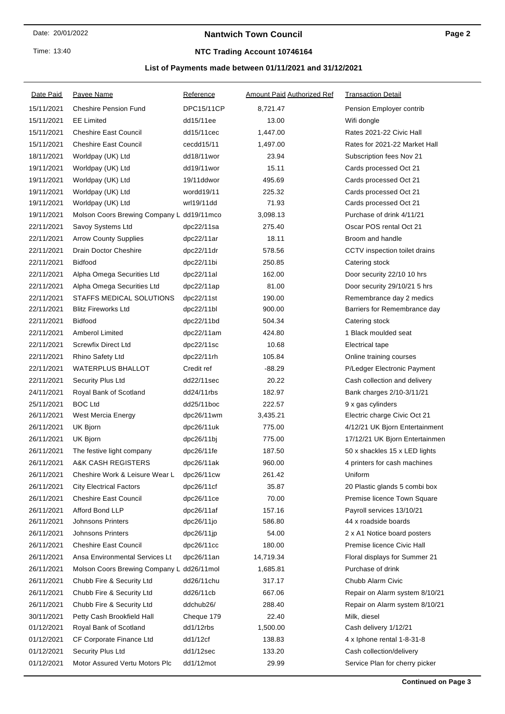### **Nantwich Town Council**

# **NTC Trading Account 10746164**

| Date Paid  | <b>Payee Name</b>                         | <u>Reference</u>  | <b>Amount Paid Authorized Ref</b> | <b>Transaction Detail</b>      |
|------------|-------------------------------------------|-------------------|-----------------------------------|--------------------------------|
| 15/11/2021 | <b>Cheshire Pension Fund</b>              | <b>DPC15/11CP</b> | 8,721.47                          | Pension Employer contrib       |
| 15/11/2021 | <b>EE Limited</b>                         | dd15/11ee         | 13.00                             | Wifi dongle                    |
| 15/11/2021 | <b>Cheshire East Council</b>              | dd15/11cec        | 1,447.00                          | Rates 2021-22 Civic Hall       |
| 15/11/2021 | <b>Cheshire East Council</b>              | cecdd15/11        | 1,497.00                          | Rates for 2021-22 Market Hall  |
| 18/11/2021 | Worldpay (UK) Ltd                         | dd18/11wor        | 23.94                             | Subscription fees Nov 21       |
| 19/11/2021 | Worldpay (UK) Ltd                         | dd19/11wor        | 15.11                             | Cards processed Oct 21         |
| 19/11/2021 | Worldpay (UK) Ltd                         | 19/11ddwor        | 495.69                            | Cards processed Oct 21         |
| 19/11/2021 | Worldpay (UK) Ltd                         | wordd19/11        | 225.32                            | Cards processed Oct 21         |
| 19/11/2021 | Worldpay (UK) Ltd                         | wrl19/11dd        | 71.93                             | Cards processed Oct 21         |
| 19/11/2021 | Molson Coors Brewing Company L dd19/11mco |                   | 3,098.13                          | Purchase of drink 4/11/21      |
| 22/11/2021 | Savoy Systems Ltd                         | dpc22/11sa        | 275.40                            | Oscar POS rental Oct 21        |
| 22/11/2021 | <b>Arrow County Supplies</b>              | dpc22/11ar        | 18.11                             | Broom and handle               |
| 22/11/2021 | Drain Doctor Cheshire                     | dpc22/11dr        | 578.56                            | CCTV inspection toilet drains  |
| 22/11/2021 | <b>Bidfood</b>                            | dpc22/11bi        | 250.85                            | Catering stock                 |
| 22/11/2021 | Alpha Omega Securities Ltd                | dpc22/11al        | 162.00                            | Door security 22/10 10 hrs     |
| 22/11/2021 | Alpha Omega Securities Ltd                | dpc22/11ap        | 81.00                             | Door security 29/10/21 5 hrs   |
| 22/11/2021 | STAFFS MEDICAL SOLUTIONS                  | dpc22/11st        | 190.00                            | Remembrance day 2 medics       |
| 22/11/2021 | <b>Blitz Fireworks Ltd</b>                | dpc22/11bl        | 900.00                            | Barriers for Remembrance day   |
| 22/11/2021 | <b>Bidfood</b>                            | dpc22/11bd        | 504.34                            | Catering stock                 |
| 22/11/2021 | <b>Amberol Limited</b>                    | dpc22/11am        | 424.80                            | 1 Black moulded seat           |
| 22/11/2021 | <b>Screwfix Direct Ltd</b>                | dpc22/11sc        | 10.68                             | Electrical tape                |
| 22/11/2021 | Rhino Safety Ltd                          | dpc22/11rh        | 105.84                            | Online training courses        |
| 22/11/2021 | <b>WATERPLUS BHALLOT</b>                  | Credit ref        | $-88.29$                          | P/Ledger Electronic Payment    |
| 22/11/2021 | Security Plus Ltd                         | dd22/11sec        | 20.22                             | Cash collection and delivery   |
| 24/11/2021 | Royal Bank of Scotland                    | dd24/11rbs        | 182.97                            | Bank charges 2/10-3/11/21      |
| 25/11/2021 | <b>BOC Ltd</b>                            | dd25/11boc        | 222.57                            | 9 x gas cylinders              |
| 26/11/2021 | West Mercia Energy                        | dpc26/11wm        | 3,435.21                          | Electric charge Civic Oct 21   |
| 26/11/2021 | UK Bjorn                                  | dpc26/11uk        | 775.00                            | 4/12/21 UK Bjorn Entertainment |
| 26/11/2021 | UK Bjorn                                  | dpc26/11bj        | 775.00                            | 17/12/21 UK Bjorn Entertainmen |
| 26/11/2021 | The festive light company                 | dpc26/11fe        | 187.50                            | 50 x shackles 15 x LED lights  |
| 26/11/2021 | A&K CASH REGISTERS                        | dpc26/11ak        | 960.00                            | 4 printers for cash machines   |
| 26/11/2021 | Cheshire Work & Leisure Wear L            | dpc26/11cw        | 261.42                            | Uniform                        |
| 26/11/2021 | <b>City Electrical Factors</b>            | dpc26/11cf        | 35.87                             | 20 Plastic glands 5 combi box  |
| 26/11/2021 | <b>Cheshire East Council</b>              | dpc26/11ce        | 70.00                             | Premise licence Town Square    |
| 26/11/2021 | Afford Bond LLP                           | dpc26/11af        | 157.16                            | Payroll services 13/10/21      |
| 26/11/2021 | <b>Johnsons Printers</b>                  | dpc26/11jo        | 586.80                            | 44 x roadside boards           |
| 26/11/2021 | <b>Johnsons Printers</b>                  | dpc26/11jp        | 54.00                             | 2 x A1 Notice board posters    |
| 26/11/2021 | <b>Cheshire East Council</b>              | dpc26/11cc        | 180.00                            | Premise licence Civic Hall     |
| 26/11/2021 | Ansa Environmental Services Lt            | dpc26/11an        | 14,719.34                         | Floral displays for Summer 21  |
| 26/11/2021 | Molson Coors Brewing Company L dd26/11mol |                   | 1,685.81                          | Purchase of drink              |
| 26/11/2021 | Chubb Fire & Security Ltd                 | dd26/11chu        | 317.17                            | Chubb Alarm Civic              |
| 26/11/2021 | Chubb Fire & Security Ltd                 | dd26/11cb         | 667.06                            | Repair on Alarm system 8/10/21 |
| 26/11/2021 | Chubb Fire & Security Ltd                 | ddchub26/         | 288.40                            | Repair on Alarm system 8/10/21 |
| 30/11/2021 | Petty Cash Brookfield Hall                | Cheque 179        | 22.40                             | Milk, diesel                   |
| 01/12/2021 | Royal Bank of Scotland                    | dd1/12rbs         | 1,500.00                          | Cash delivery 1/12/21          |
| 01/12/2021 | CF Corporate Finance Ltd                  | dd1/12cf          | 138.83                            | 4 x Iphone rental 1-8-31-8     |
| 01/12/2021 | Security Plus Ltd                         | dd1/12sec         | 133.20                            | Cash collection/delivery       |
| 01/12/2021 | Motor Assured Vertu Motors Plc            | dd1/12mot         | 29.99                             | Service Plan for cherry picker |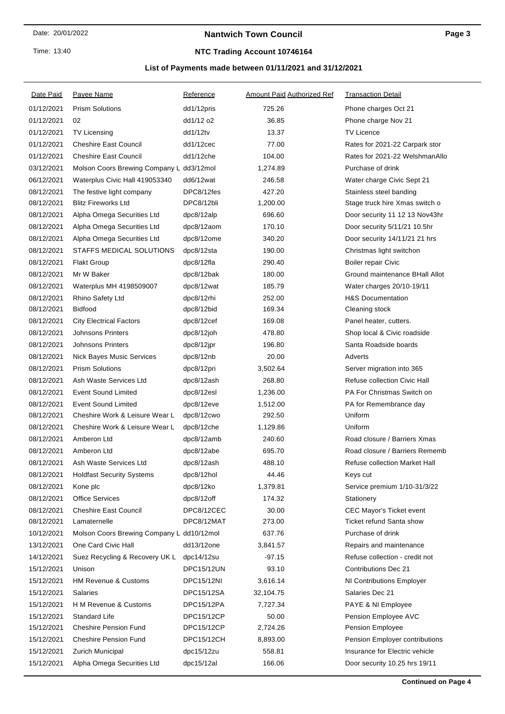### **Nantwich Town Council**

# **NTC Trading Account 10746164**

| Date Paid  | <b>Payee Name</b>                         | Reference         | <b>Amount Paid Authorized Ref</b> | <b>Transaction Detail</b>      |
|------------|-------------------------------------------|-------------------|-----------------------------------|--------------------------------|
| 01/12/2021 | <b>Prism Solutions</b>                    | dd1/12pris        | 725.26                            | Phone charges Oct 21           |
| 01/12/2021 | 02                                        | dd1/12 o2         | 36.85                             | Phone charge Nov 21            |
| 01/12/2021 | <b>TV Licensing</b>                       | dd1/12tv          | 13.37                             | <b>TV Licence</b>              |
| 01/12/2021 | <b>Cheshire East Council</b>              | dd1/12cec         | 77.00                             | Rates for 2021-22 Carpark stor |
| 01/12/2021 | <b>Cheshire East Council</b>              | dd1/12che         | 104.00                            | Rates for 2021-22 WelshmanAllo |
| 03/12/2021 | Molson Coors Brewing Company L dd3/12mol  |                   | 1,274.89                          | Purchase of drink              |
| 06/12/2021 | Waterplus Civic Hall 419053340            | dd6/12wat         | 246.58                            | Water charge Civic Sept 21     |
| 08/12/2021 | The festive light company                 | DPC8/12fes        | 427.20                            | Stainless steel banding        |
| 08/12/2021 | <b>Blitz Fireworks Ltd</b>                | DPC8/12bli        | 1,200.00                          | Stage truck hire Xmas switch o |
| 08/12/2021 | Alpha Omega Securities Ltd                | dpc8/12alp        | 696.60                            | Door security 11 12 13 Nov43hr |
| 08/12/2021 | Alpha Omega Securities Ltd                | dpc8/12aom        | 170.10                            | Door security 5/11/21 10.5hr   |
| 08/12/2021 | Alpha Omega Securities Ltd                | dpc8/12ome        | 340.20                            | Door security 14/11/21 21 hrs  |
| 08/12/2021 | STAFFS MEDICAL SOLUTIONS                  | dpc8/12sta        | 190.00                            | Christmas light switchon       |
| 08/12/2021 | <b>Flakt Group</b>                        | dpc8/12fla        | 290.40                            | Boiler repair Civic            |
| 08/12/2021 | Mr W Baker                                | dpc8/12bak        | 180.00                            | Ground maintenance BHall Allot |
| 08/12/2021 | Waterplus MH 4198509007                   | dpc8/12wat        | 185.79                            | Water charges 20/10-19/11      |
| 08/12/2021 | Rhino Safety Ltd                          | dpc8/12rhi        | 252.00                            | <b>H&amp;S Documentation</b>   |
| 08/12/2021 | <b>Bidfood</b>                            | dpc8/12bid        | 169.34                            | Cleaning stock                 |
| 08/12/2021 | <b>City Electrical Factors</b>            | dpc8/12cef        | 169.08                            | Panel heater, cutters.         |
| 08/12/2021 | <b>Johnsons Printers</b>                  | dpc8/12joh        | 478.80                            | Shop local & Civic roadside    |
| 08/12/2021 | <b>Johnsons Printers</b>                  | dpc8/12jpr        | 196.80                            | Santa Roadside boards          |
| 08/12/2021 | <b>Nick Bayes Music Services</b>          | dpc8/12nb         | 20.00                             | Adverts                        |
| 08/12/2021 | <b>Prism Solutions</b>                    | dpc8/12pri        | 3,502.64                          | Server migration into 365      |
| 08/12/2021 | Ash Waste Services Ltd                    | dpc8/12ash        | 268.80                            | Refuse collection Civic Hall   |
| 08/12/2021 | <b>Event Sound Limited</b>                | dpc8/12esl        | 1,236.00                          | PA For Christmas Switch on     |
| 08/12/2021 | <b>Event Sound Limited</b>                | dpc8/12eve        | 1,512.00                          | PA for Remembrance day         |
| 08/12/2021 | Cheshire Work & Leisure Wear L            | dpc8/12cwo        | 292.50                            | Uniform                        |
| 08/12/2021 | Cheshire Work & Leisure Wear L            | dpc8/12che        | 1,129.86                          | Uniform                        |
| 08/12/2021 | Amberon Ltd                               | dpc8/12amb        | 240.60                            | Road closure / Barriers Xmas   |
| 08/12/2021 | Amberon Ltd                               | dpc8/12abe        | 695.70                            | Road closure / Barriers Rememb |
| 08/12/2021 | Ash Waste Services Ltd                    | dpc8/12ash        | 488.10                            | Refuse collection Market Hall  |
| 08/12/2021 | <b>Holdfast Security Systems</b>          | dpc8/12hol        | 44.46                             | Keys cut                       |
| 08/12/2021 | Kone plc                                  | dpc8/12ko         | 1,379.81                          | Service premium 1/10-31/3/22   |
| 08/12/2021 | <b>Office Services</b>                    | dpc8/12off        | 174.32                            | Stationery                     |
| 08/12/2021 | <b>Cheshire East Council</b>              | DPC8/12CEC        | 30.00                             | CEC Mayor's Ticket event       |
| 08/12/2021 | Lamaternelle                              | DPC8/12MAT        | 273.00                            | Ticket refund Santa show       |
| 10/12/2021 | Molson Coors Brewing Company L dd10/12mol |                   | 637.76                            | Purchase of drink              |
| 13/12/2021 | One Card Civic Hall                       | dd13/12one        | 3,841.57                          | Repairs and maintenance        |
| 14/12/2021 | Suez Recycling & Recovery UK L            | dpc14/12su        | $-97.15$                          | Refuse collection - credit not |
| 15/12/2021 | Unison                                    | <b>DPC15/12UN</b> | 93.10                             | <b>Contributions Dec 21</b>    |
| 15/12/2021 | <b>HM Revenue &amp; Customs</b>           | <b>DPC15/12NI</b> | 3,616.14                          | NI Contributions Employer      |
| 15/12/2021 | <b>Salaries</b>                           | DPC15/12SA        | 32,104.75                         | Salaries Dec 21                |
| 15/12/2021 | H M Revenue & Customs                     | DPC15/12PA        | 7,727.34                          | PAYE & NI Employee             |
| 15/12/2021 | Standard Life                             | <b>DPC15/12CP</b> | 50.00                             | Pension Employee AVC           |
| 15/12/2021 | <b>Cheshire Pension Fund</b>              | DPC15/12CP        | 2,724.26                          | Pension Employee               |
| 15/12/2021 | <b>Cheshire Pension Fund</b>              | <b>DPC15/12CH</b> | 8,893.00                          | Pension Employer contributions |
| 15/12/2021 | Zurich Municipal                          | dpc15/12zu        | 558.81                            | Insurance for Electric vehicle |
| 15/12/2021 | Alpha Omega Securities Ltd                | dpc15/12al        | 166.06                            | Door security 10.25 hrs 19/11  |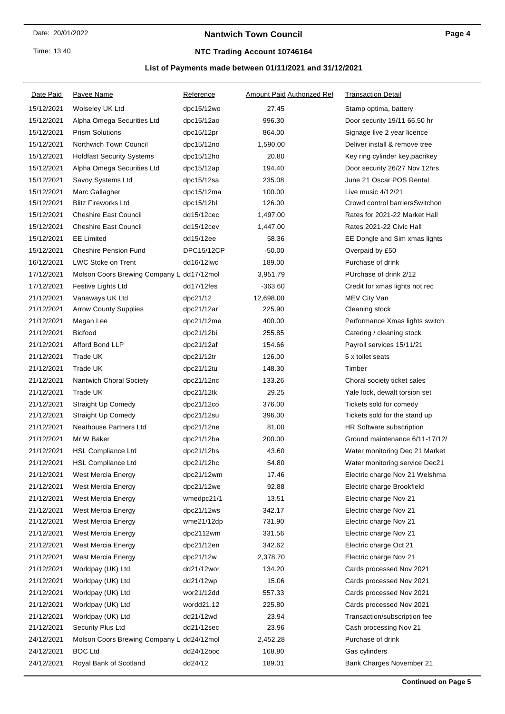### **Nantwich Town Council**

# **NTC Trading Account 10746164**

| Date Paid  | <b>Payee Name</b>                         | Reference         | <b>Amount Paid Authorized Ref</b> | <b>Transaction Detail</b>       |
|------------|-------------------------------------------|-------------------|-----------------------------------|---------------------------------|
| 15/12/2021 | Wolseley UK Ltd                           | dpc15/12wo        | 27.45                             | Stamp optima, battery           |
| 15/12/2021 | Alpha Omega Securities Ltd                | dpc15/12ao        | 996.30                            | Door security 19/11 66.50 hr    |
| 15/12/2021 | <b>Prism Solutions</b>                    | dpc15/12pr        | 864.00                            | Signage live 2 year licence     |
| 15/12/2021 | Northwich Town Council                    | dpc15/12no        | 1,590.00                          | Deliver install & remove tree   |
| 15/12/2021 | <b>Holdfast Security Systems</b>          | dpc15/12ho        | 20.80                             | Key ring cylinder key, pacrikey |
| 15/12/2021 | Alpha Omega Securities Ltd                | dpc15/12ap        | 194.40                            | Door security 26/27 Nov 12hrs   |
| 15/12/2021 | Savoy Systems Ltd                         | dpc15/12sa        | 235.08                            | June 21 Oscar POS Rental        |
| 15/12/2021 | Marc Gallagher                            | dpc15/12ma        | 100.00                            | Live music 4/12/21              |
| 15/12/2021 | <b>Blitz Fireworks Ltd</b>                | dpc15/12bl        | 126.00                            | Crowd control barriersSwitchon  |
| 15/12/2021 | <b>Cheshire East Council</b>              | dd15/12cec        | 1,497.00                          | Rates for 2021-22 Market Hall   |
| 15/12/2021 | <b>Cheshire East Council</b>              | dd15/12cev        | 1,447.00                          | Rates 2021-22 Civic Hall        |
| 15/12/2021 | <b>EE Limited</b>                         | dd15/12ee         | 58.36                             | EE Dongle and Sim xmas lights   |
| 15/12/2021 | <b>Cheshire Pension Fund</b>              | <b>DPC15/12CP</b> | $-50.00$                          | Overpaid by £50                 |
| 16/12/2021 | <b>LWC Stoke on Trent</b>                 | dd16/12lwc        | 189.00                            | Purchase of drink               |
| 17/12/2021 | Molson Coors Brewing Company L dd17/12mol |                   | 3,951.79                          | PUrchase of drink 2/12          |
| 17/12/2021 | Festive Lights Ltd                        | dd17/12fes        | $-363.60$                         | Credit for xmas lights not rec  |
| 21/12/2021 | Vanaways UK Ltd                           | dpc21/12          | 12,698.00                         | MEV City Van                    |
| 21/12/2021 | <b>Arrow County Supplies</b>              | dpc21/12ar        | 225.90                            | Cleaning stock                  |
| 21/12/2021 | Megan Lee                                 | dpc21/12me        | 400.00                            | Performance Xmas lights switch  |
| 21/12/2021 | <b>Bidfood</b>                            | dpc21/12bi        | 255.85                            | Catering / cleaning stock       |
| 21/12/2021 | Afford Bond LLP                           | dpc21/12af        | 154.66                            | Payroll services 15/11/21       |
| 21/12/2021 | Trade UK                                  | $dpc21/12$ tr     | 126.00                            | 5 x toilet seats                |
| 21/12/2021 | Trade UK                                  | dpc21/12tu        | 148.30                            | Timber                          |
| 21/12/2021 | Nantwich Choral Society                   | dpc21/12nc        | 133.26                            | Choral society ticket sales     |
| 21/12/2021 | Trade UK                                  | dpc21/12tk        | 29.25                             | Yale lock, dewalt torsion set   |
| 21/12/2021 | <b>Straight Up Comedy</b>                 | dpc21/12co        | 376.00                            | Tickets sold for comedy         |
| 21/12/2021 | <b>Straight Up Comedy</b>                 | dpc21/12su        | 396.00                            | Tickets sold for the stand up   |
| 21/12/2021 | <b>Neathouse Partners Ltd</b>             | dpc21/12ne        | 81.00                             | HR Software subscription        |
| 21/12/2021 | Mr W Baker                                | dpc21/12ba        | 200.00                            | Ground maintenance 6/11-17/12/  |
| 21/12/2021 | <b>HSL Compliance Ltd</b>                 | $dpc21/12$ hs     | 43.60                             | Water monitoring Dec 21 Market  |
| 21/12/2021 | <b>HSL Compliance Ltd</b>                 | dpc21/12hc        | 54.80                             | Water monitoring service Dec21  |
| 21/12/2021 | West Mercia Energy                        | dpc21/12wm        | 17.46                             | Electric charge Nov 21 Welshma  |
| 21/12/2021 | West Mercia Energy                        | dpc21/12we        | 92.88                             | Electric charge Brookfield      |
| 21/12/2021 | West Mercia Energy                        | wmedpc21/1        | 13.51                             | Electric charge Nov 21          |
| 21/12/2021 | West Mercia Energy                        | dpc21/12ws        | 342.17                            | Electric charge Nov 21          |
| 21/12/2021 | West Mercia Energy                        | wme21/12dp        | 731.90                            | Electric charge Nov 21          |
| 21/12/2021 | West Mercia Energy                        | dpc2112wm         | 331.56                            | Electric charge Nov 21          |
| 21/12/2021 | West Mercia Energy                        | dpc21/12en        | 342.62                            | Electric charge Oct 21          |
| 21/12/2021 | West Mercia Energy                        | dpc21/12w         | 2,378.70                          | Electric charge Nov 21          |
| 21/12/2021 | Worldpay (UK) Ltd                         | dd21/12wor        | 134.20                            | Cards processed Nov 2021        |
| 21/12/2021 | Worldpay (UK) Ltd                         | dd21/12wp         | 15.06                             | Cards processed Nov 2021        |
| 21/12/2021 | Worldpay (UK) Ltd                         | wor21/12dd        | 557.33                            | Cards processed Nov 2021        |
| 21/12/2021 | Worldpay (UK) Ltd                         | wordd21.12        | 225.80                            | Cards processed Nov 2021        |
| 21/12/2021 | Worldpay (UK) Ltd                         | dd21/12wd         | 23.94                             | Transaction/subscription fee    |
| 21/12/2021 | Security Plus Ltd                         | dd21/12sec        | 23.96                             | Cash processing Nov 21          |
| 24/12/2021 | Molson Coors Brewing Company L dd24/12mol |                   | 2,452.28                          | Purchase of drink               |
| 24/12/2021 | <b>BOC Ltd</b>                            | dd24/12boc        | 168.80                            | Gas cylinders                   |
| 24/12/2021 | Royal Bank of Scotland                    | dd24/12           | 189.01                            | Bank Charges November 21        |